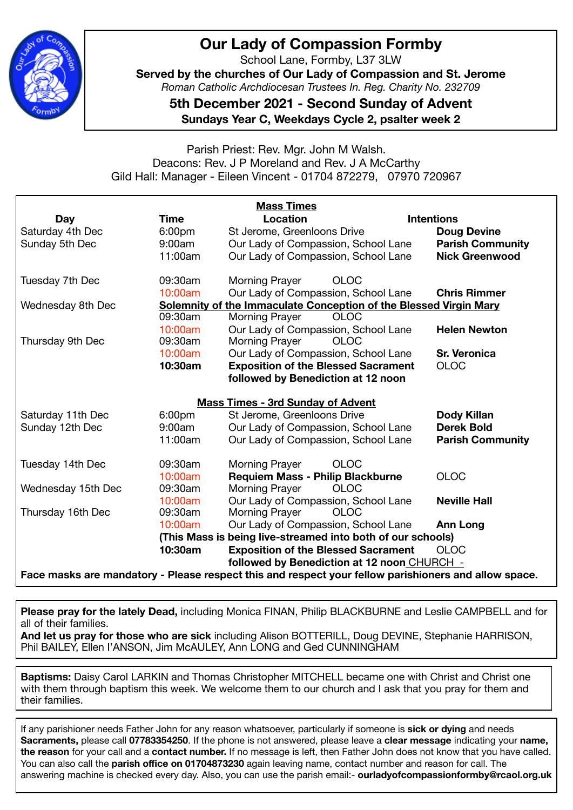

### **Our Lady of Compassion Formby**

School Lane, Formby, L37 3LW

**Served by the churches of Our Lady of Compassion and St. Jerome**  *Roman Catholic Archdiocesan Trustees In. Reg. Charity No. 232709* 

**5th December 2021 - Second Sunday of Advent Sundays Year C, Weekdays Cycle 2, psalter week 2** 

#### Parish Priest: Rev. Mgr. John M Walsh. Deacons: Rev. J P Moreland and Rev. J A McCarthy Gild Hall: Manager - Eileen Vincent - 01704 872279, 07970 720967

| <b>Mass Times</b>                        |                    |                                                                                                      |                         |  |  |
|------------------------------------------|--------------------|------------------------------------------------------------------------------------------------------|-------------------------|--|--|
| <b>Day</b>                               | <b>Time</b>        | Location                                                                                             | <b>Intentions</b>       |  |  |
| Saturday 4th Dec                         | 6:00 <sub>pm</sub> | St Jerome, Greenloons Drive                                                                          | <b>Doug Devine</b>      |  |  |
| Sunday 5th Dec                           | 9:00am             | Our Lady of Compassion, School Lane                                                                  | <b>Parish Community</b> |  |  |
|                                          | 11:00am            | Our Lady of Compassion, School Lane                                                                  | <b>Nick Greenwood</b>   |  |  |
| Tuesday 7th Dec                          | 09:30am            | <b>OLOC</b><br><b>Morning Prayer</b>                                                                 |                         |  |  |
|                                          | 10:00am            | Our Lady of Compassion, School Lane                                                                  | <b>Chris Rimmer</b>     |  |  |
| Wednesday 8th Dec                        |                    | Solemnity of the Immaculate Conception of the Blessed Virgin Mary                                    |                         |  |  |
|                                          | 09:30am            | <b>Morning Prayer</b><br><b>OLOC</b>                                                                 |                         |  |  |
|                                          | 10:00am            | Our Lady of Compassion, School Lane                                                                  | <b>Helen Newton</b>     |  |  |
| Thursday 9th Dec                         | 09:30am            | <b>Morning Prayer</b><br><b>OLOC</b>                                                                 |                         |  |  |
|                                          | 10:00am            | Our Lady of Compassion, School Lane                                                                  | <b>Sr. Veronica</b>     |  |  |
|                                          | 10:30am            | <b>Exposition of the Blessed Sacrament</b>                                                           | <b>OLOC</b>             |  |  |
|                                          |                    | followed by Benediction at 12 noon                                                                   |                         |  |  |
| <b>Mass Times - 3rd Sunday of Advent</b> |                    |                                                                                                      |                         |  |  |
| Saturday 11th Dec                        | 6:00 <sub>pm</sub> | St Jerome, Greenloons Drive                                                                          | <b>Dody Killan</b>      |  |  |
| Sunday 12th Dec                          | 9:00am             | Our Lady of Compassion, School Lane                                                                  | <b>Derek Bold</b>       |  |  |
|                                          | 11:00am            | Our Lady of Compassion, School Lane                                                                  | <b>Parish Community</b> |  |  |
| Tuesday 14th Dec                         | 09:30am            | <b>OLOC</b><br>Morning Prayer                                                                        |                         |  |  |
|                                          | 10:00am            | Requiem Mass - Philip Blackburne                                                                     | <b>OLOC</b>             |  |  |
| Wednesday 15th Dec                       | 09:30am            | <b>Morning Prayer</b><br><b>OLOC</b>                                                                 |                         |  |  |
|                                          | 10:00am            | Our Lady of Compassion, School Lane                                                                  | <b>Neville Hall</b>     |  |  |
| Thursday 16th Dec                        | 09:30am            | <b>Morning Prayer</b><br><b>OLOC</b>                                                                 |                         |  |  |
|                                          | 10:00am            | Our Lady of Compassion, School Lane                                                                  | <b>Ann Long</b>         |  |  |
|                                          |                    | (This Mass is being live-streamed into both of our schools)                                          |                         |  |  |
|                                          | 10:30am            | <b>Exposition of the Blessed Sacrament</b>                                                           | <b>OLOC</b>             |  |  |
|                                          |                    | followed by Benediction at 12 noon CHURCH -                                                          |                         |  |  |
|                                          |                    | Face masks are mandatory - Please respect this and respect your fellow parishioners and allow space. |                         |  |  |

**Please pray for the lately Dead,** including Monica FINAN, Philip BLACKBURNE and Leslie CAMPBELL and for all of their families.

**And let us pray for those who are sick** including Alison BOTTERILL, Doug DEVINE, Stephanie HARRISON, Phil BAILEY, Ellen I'ANSON, Jim McAULEY, Ann LONG and Ged CUNNINGHAM

**Baptisms:** Daisy Carol LARKIN and Thomas Christopher MITCHELL became one with Christ and Christ one with them through baptism this week. We welcome them to our church and I ask that you pray for them and their families.

If any parishioner needs Father John for any reason whatsoever, particularly if someone is **sick or dying** and needs **Sacraments,** please call **07783354250**. If the phone is not answered, please leave a **clear message** indicating your **name, the reason** for your call and a **contact number.** If no message is left, then Father John does not know that you have called. You can also call the **parish office on 01704873230** again leaving name, contact number and reason for call. The answering machine is checked every day. Also, you can use the parish email:- **ourladyofcompassionformby@rcaol.org.uk**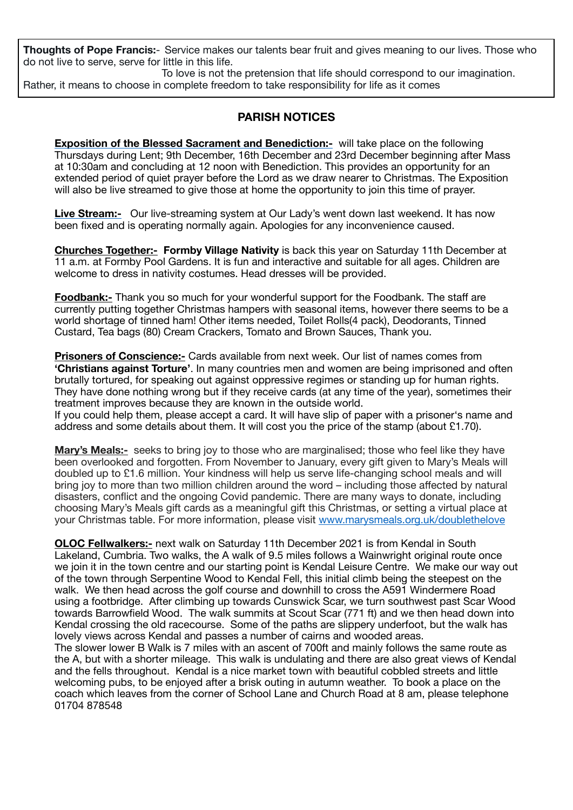**Thoughts of Pope Francis:**- Service makes our talents bear fruit and gives meaning to our lives. Those who do not live to serve, serve for little in this life.

 To love is not the pretension that life should correspond to our imagination. Rather, it means to choose in complete freedom to take responsibility for life as it comes 

#### **PARISH NOTICES**

**Exposition of the Blessed Sacrament and Benediction:-** will take place on the following Thursdays during Lent; 9th December, 16th December and 23rd December beginning after Mass at 10:30am and concluding at 12 noon with Benediction. This provides an opportunity for an extended period of quiet prayer before the Lord as we draw nearer to Christmas. The Exposition will also be live streamed to give those at home the opportunity to join this time of prayer.

**Live Stream:-** Our live-streaming system at Our Lady's went down last weekend. It has now been fixed and is operating normally again. Apologies for any inconvenience caused.

**Churches Together:- Formby Village Nativity** is back this year on Saturday 11th December at 11 a.m. at Formby Pool Gardens. It is fun and interactive and suitable for all ages. Children are welcome to dress in nativity costumes. Head dresses will be provided.

**Foodbank:-** Thank you so much for your wonderful support for the Foodbank. The staff are currently putting together Christmas hampers with seasonal items, however there seems to be a world shortage of tinned ham! Other items needed, Toilet Rolls(4 pack), Deodorants, Tinned Custard, Tea bags (80) Cream Crackers, Tomato and Brown Sauces, Thank you.

**Prisoners of Conscience:-** Cards available from next week. Our list of names comes from **'Christians against Torture'**. In many countries men and women are being imprisoned and often brutally tortured, for speaking out against oppressive regimes or standing up for human rights. They have done nothing wrong but if they receive cards (at any time of the year), sometimes their treatment improves because they are known in the outside world.

If you could help them, please accept a card. It will have slip of paper with a prisoner's name and address and some details about them. It will cost you the price of the stamp (about £1.70).

**Mary's Meals:-** seeks to bring joy to those who are marginalised; those who feel like they have been overlooked and forgotten. From November to January, every gift given to Mary's Meals will doubled up to £1.6 million. Your kindness will help us serve life-changing school meals and will bring joy to more than two million children around the word – including those affected by natural disasters, conflict and the ongoing Covid pandemic. There are many ways to donate, including choosing Mary's Meals gift cards as a meaningful gift this Christmas, or setting a virtual place at your Christmas table. For more information, please visit [www.marysmeals.org.uk/doublethelove](https://eur02.safelinks.protection.outlook.com/?url=http%3A%2F%2Fwww.marysmeals.org.uk%2Fdoublethelove&data=04%7C01%7Canna.houghton%40marysmeals.org%7Cf46f56a1f782485e6d2e08d9a448500d%7C56bf9bbcbe8c4eb3bb18b7910154a096%7C0%7C0%7C637721453752145578%7CUnknown%7CTWFpbGZsb3d8eyJWIjoiMC4wLjAwMDAiLCJQIjoiV2luMzIiLCJBTiI6Ik1haWwiLCJXVCI6Mn0%3D%7C1000&sdata=MxqLGYP6CtiS6l4HdY%2BLmvmu%2BBLTJJs33nys%2FhXaDZo%3D&reserved=0)

**OLOC Fellwalkers:-** next walk on Saturday 11th December 2021 is from Kendal in South Lakeland, Cumbria. Two walks, the A walk of 9.5 miles follows a Wainwright original route once we join it in the town centre and our starting point is Kendal Leisure Centre. We make our way out of the town through Serpentine Wood to Kendal Fell, this initial climb being the steepest on the walk. We then head across the golf course and downhill to cross the A591 Windermere Road using a footbridge. After climbing up towards Cunswick Scar, we turn southwest past Scar Wood towards Barrowfield Wood. The walk summits at Scout Scar (771 ft) and we then head down into Kendal crossing the old racecourse. Some of the paths are slippery underfoot, but the walk has lovely views across Kendal and passes a number of cairns and wooded areas.

The slower lower B Walk is 7 miles with an ascent of 700ft and mainly follows the same route as the A, but with a shorter mileage. This walk is undulating and there are also great views of Kendal and the fells throughout. Kendal is a nice market town with beautiful cobbled streets and little welcoming pubs, to be enjoyed after a brisk outing in autumn weather. To book a place on the coach which leaves from the corner of School Lane and Church Road at 8 am, please telephone 01704 878548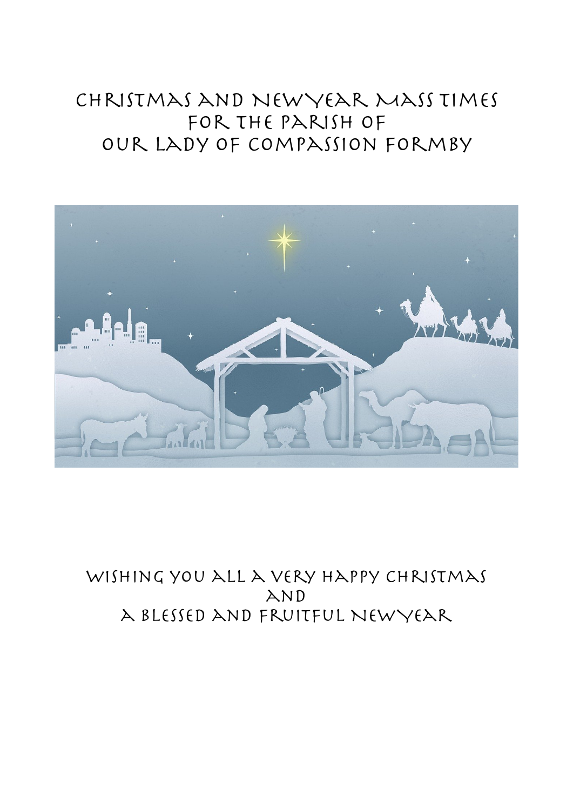# Christmas and New Year Mass Times for the Parish of Our Lady of Compassion Formby



### WISHING YOU ALL A VERY HAPPY CHRISTMAS AND a Blessed and Fruitful New Year